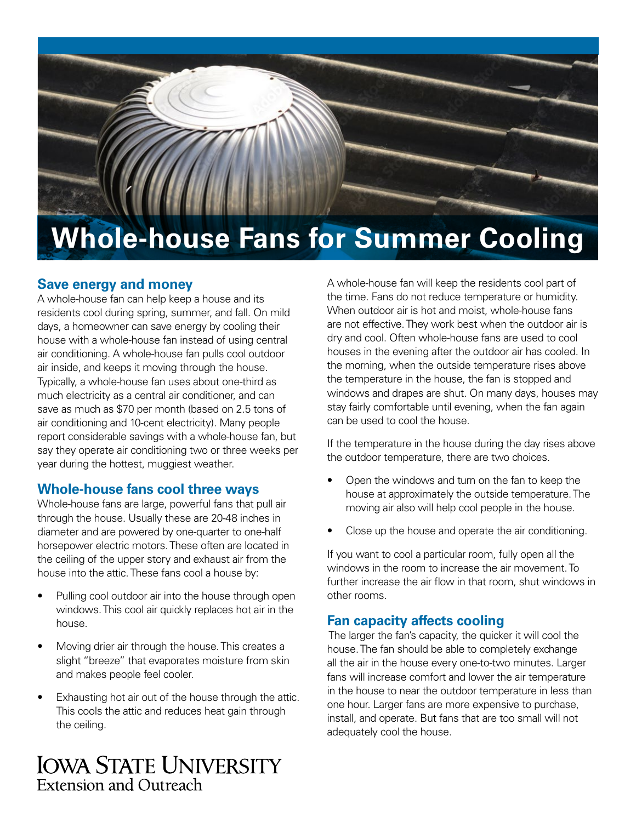

# **Save energy and money**

A whole-house fan can help keep a house and its residents cool during spring, summer, and fall. On mild days, a homeowner can save energy by cooling their house with a whole-house fan instead of using central air conditioning. A whole-house fan pulls cool outdoor air inside, and keeps it moving through the house. Typically, a whole-house fan uses about one-third as much electricity as a central air conditioner, and can save as much as \$70 per month (based on 2.5 tons of air conditioning and 10-cent electricity). Many people report considerable savings with a whole-house fan, but say they operate air conditioning two or three weeks per year during the hottest, muggiest weather.

# **Whole-house fans cool three ways**

Whole-house fans are large, powerful fans that pull air through the house. Usually these are 20-48 inches in diameter and are powered by one-quarter to one-half horsepower electric motors. These often are located in the ceiling of the upper story and exhaust air from the house into the attic. These fans cool a house by:

- Pulling cool outdoor air into the house through open windows. This cool air quickly replaces hot air in the house.
- Moving drier air through the house. This creates a slight "breeze" that evaporates moisture from skin and makes people feel cooler.
- Exhausting hot air out of the house through the attic. This cools the attic and reduces heat gain through the ceiling.

**IOWA STATE UNIVERSITY** Extension and Outreach

A whole-house fan will keep the residents cool part of the time. Fans do not reduce temperature or humidity. When outdoor air is hot and moist, whole-house fans are not effective. They work best when the outdoor air is dry and cool. Often whole-house fans are used to cool houses in the evening after the outdoor air has cooled. In the morning, when the outside temperature rises above the temperature in the house, the fan is stopped and windows and drapes are shut. On many days, houses may stay fairly comfortable until evening, when the fan again can be used to cool the house.

If the temperature in the house during the day rises above the outdoor temperature, there are two choices.

- Open the windows and turn on the fan to keep the house at approximately the outside temperature. The moving air also will help cool people in the house.
- Close up the house and operate the air conditioning.

If you want to cool a particular room, fully open all the windows in the room to increase the air movement. To further increase the air flow in that room, shut windows in other rooms.

# **Fan capacity affects cooling**

 The larger the fan's capacity, the quicker it will cool the house. The fan should be able to completely exchange all the air in the house every one-to-two minutes. Larger fans will increase comfort and lower the air temperature in the house to near the outdoor temperature in less than one hour. Larger fans are more expensive to purchase, install, and operate. But fans that are too small will not adequately cool the house.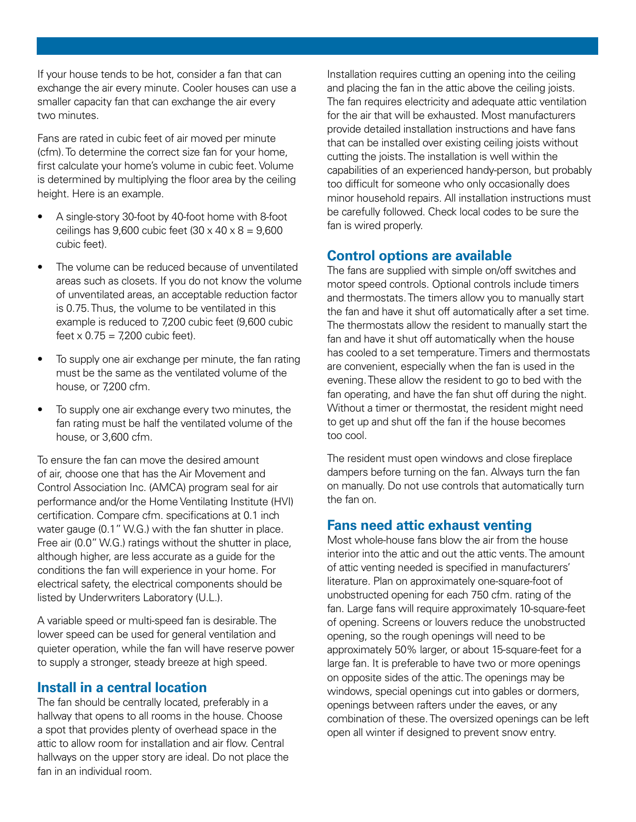If your house tends to be hot, consider a fan that can exchange the air every minute. Cooler houses can use a smaller capacity fan that can exchange the air every two minutes.

Fans are rated in cubic feet of air moved per minute (cfm). To determine the correct size fan for your home, first calculate your home's volume in cubic feet. Volume is determined by multiplying the floor area by the ceiling height. Here is an example.

- A single-story 30-foot by 40-foot home with 8-foot ceilings has  $9.600$  cubic feet (30 x 40 x 8 =  $9.600$ ) cubic feet).
- The volume can be reduced because of unventilated areas such as closets. If you do not know the volume of unventilated areas, an acceptable reduction factor is 0.75. Thus, the volume to be ventilated in this example is reduced to 7,200 cubic feet (9,600 cubic feet  $x 0.75 = 7,200$  cubic feet).
- To supply one air exchange per minute, the fan rating must be the same as the ventilated volume of the house, or 7,200 cfm.
- To supply one air exchange every two minutes, the fan rating must be half the ventilated volume of the house, or 3,600 cfm.

To ensure the fan can move the desired amount of air, choose one that has the Air Movement and Control Association Inc. (AMCA) program seal for air performance and/or the Home Ventilating Institute (HVI) certification. Compare cfm. specifications at 0.1 inch water gauge (0.1" W.G.) with the fan shutter in place. Free air (0.0" W.G.) ratings without the shutter in place, although higher, are less accurate as a guide for the conditions the fan will experience in your home. For electrical safety, the electrical components should be listed by Underwriters Laboratory (U.L.).

A variable speed or multi-speed fan is desirable. The lower speed can be used for general ventilation and quieter operation, while the fan will have reserve power to supply a stronger, steady breeze at high speed.

### **Install in a central location**

The fan should be centrally located, preferably in a hallway that opens to all rooms in the house. Choose a spot that provides plenty of overhead space in the attic to allow room for installation and air flow. Central hallways on the upper story are ideal. Do not place the fan in an individual room.

Installation requires cutting an opening into the ceiling and placing the fan in the attic above the ceiling joists. The fan requires electricity and adequate attic ventilation for the air that will be exhausted. Most manufacturers provide detailed installation instructions and have fans that can be installed over existing ceiling joists without cutting the joists. The installation is well within the capabilities of an experienced handy-person, but probably too difficult for someone who only occasionally does minor household repairs. All installation instructions must be carefully followed. Check local codes to be sure the fan is wired properly.

# **Control options are available**

The fans are supplied with simple on/off switches and motor speed controls. Optional controls include timers and thermostats. The timers allow you to manually start the fan and have it shut off automatically after a set time. The thermostats allow the resident to manually start the fan and have it shut off automatically when the house has cooled to a set temperature. Timers and thermostats are convenient, especially when the fan is used in the evening. These allow the resident to go to bed with the fan operating, and have the fan shut off during the night. Without a timer or thermostat, the resident might need to get up and shut off the fan if the house becomes too cool.

The resident must open windows and close fireplace dampers before turning on the fan. Always turn the fan on manually. Do not use controls that automatically turn the fan on.

#### **Fans need attic exhaust venting**

Most whole-house fans blow the air from the house interior into the attic and out the attic vents. The amount of attic venting needed is specified in manufacturers' literature. Plan on approximately one-square-foot of unobstructed opening for each 750 cfm. rating of the fan. Large fans will require approximately 10-square-feet of opening. Screens or louvers reduce the unobstructed opening, so the rough openings will need to be approximately 50% larger, or about 15-square-feet for a large fan. It is preferable to have two or more openings on opposite sides of the attic. The openings may be windows, special openings cut into gables or dormers, openings between rafters under the eaves, or any combination of these. The oversized openings can be left open all winter if designed to prevent snow entry.